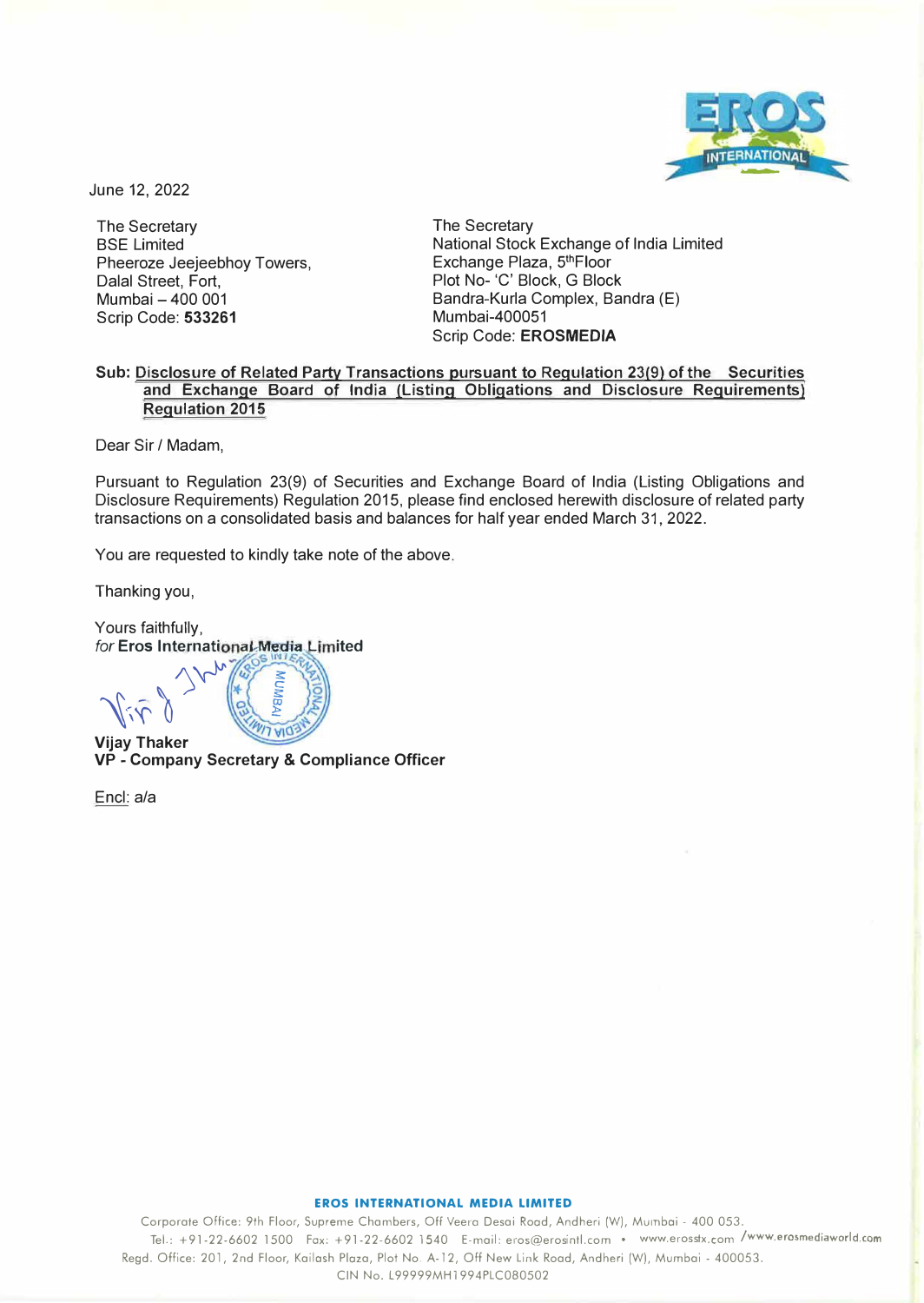

June 12, 2022

The Secretary BSE Limited Pheeroze Jeejeebhoy Towers, Dalal Street, Fort, Mumbai - 400 001 Scrip Code: **533261** 

The Secretary National Stock Exchange of India Limited Exchange Plaza, 5<sup>th</sup> Floor Plot No- 'C' Block, G Block Bandra-Kurla Complex, Bandra (E) Mumbai-400051 Scrip Code: **EROSMEDIA**

## **Sub: Disclosure of Related Party Transactions pursuant to Regulation 23(9) of the Securities and Exchange Board of India (Listing Obligations and Disclosure Requirements) Regulation 2015**

Dear Sir / Madam,

Pursuant to Regulation 23(9) of Securities and Exchange Board of India (Listing Obligations and Disclosure Requirements) Regulation 2015, please find enclosed herewith disclosure of related party transactions on a consolidated basis and balances for half year ended March 31, 2022.

You are requested to kindly take note of the above.

Thanking you,

Yours faithfully, for Eros International Media Limited

 $\sqrt{2\pi}$  $77W0$ **Vijay Thaker VP - Company Secretary & Compliance Officer** 

Encl: a/a

## **EROS INTERNATIONAL MEDIA LIMITED**

Corporate Office: 9th Floor, Supreme Chambers, Off Veera Desai Road, Andheri (W), Mumbai - 400 053. Tel.: +91-22-6602 1500 Fax: +91-22-6602 1540 E-mail: eros@erosintl.com • www.erosstx.com/www.erosmediaworld.com Regd. Office: 201, 2nd Floor, Kailash Plaza, Plot No. A-12, Off New Link Road, Andheri (W), Mumbai - 400053. CIN No. L99999MH1994PLC080502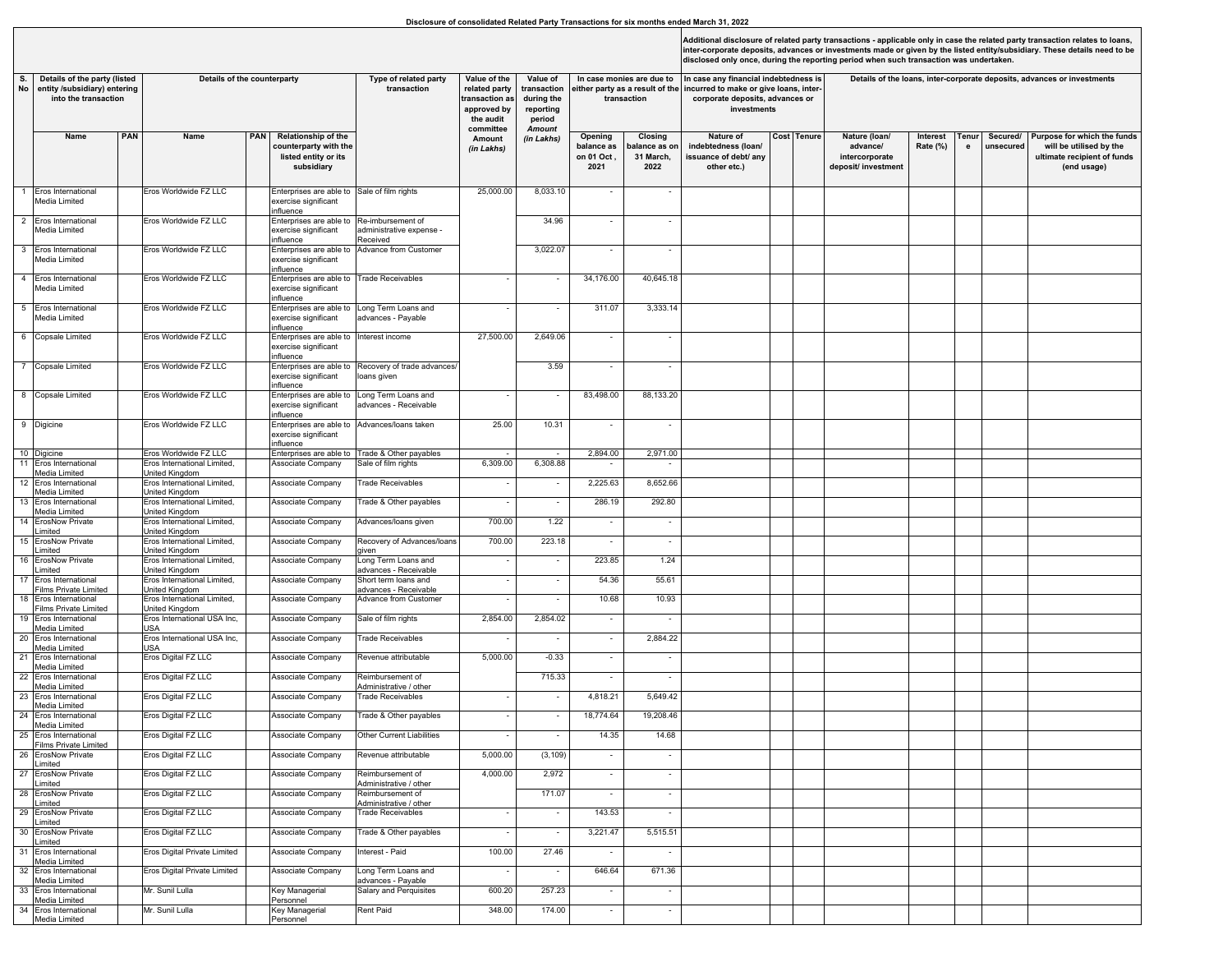## **Disclosure of consolidated Related Party Transactions for six months ended March 31, 2022**

Additional disclosure of related party transactions - applicable only in case the related party transaction relates to loans,<br>inter-corporate deposits, advances or investments made or given by the listed entity/subsidiary.

|          |                                                                                      |     |                                               |     |                                                                                               |                                                                        |                                                                                         |                                                                        | isclosed only once, during the reporting period when such transaction was undertaken |                                                                          |                                                                                                                                   |             |                                                                    |                                                                         |            |                       |                                                                                                      |  |
|----------|--------------------------------------------------------------------------------------|-----|-----------------------------------------------|-----|-----------------------------------------------------------------------------------------------|------------------------------------------------------------------------|-----------------------------------------------------------------------------------------|------------------------------------------------------------------------|--------------------------------------------------------------------------------------|--------------------------------------------------------------------------|-----------------------------------------------------------------------------------------------------------------------------------|-------------|--------------------------------------------------------------------|-------------------------------------------------------------------------|------------|-----------------------|------------------------------------------------------------------------------------------------------|--|
| S.<br>No | Details of the party (listed<br>entity /subsidiary) entering<br>into the transaction |     | Details of the counterparty                   |     |                                                                                               | Type of related party<br>transaction                                   | Value of the<br>related party<br>transaction a<br>approved by<br>the audit<br>committee | Value of<br>transaction<br>during the<br>reporting<br>period<br>Amount | In case monies are due to<br>either party as a result of the<br>transaction          |                                                                          | In case any financial indebtedness is<br>incurred to make or give loans, inter-<br>corporate deposits, advances or<br>investments |             |                                                                    | Details of the loans, inter-corporate deposits, advances or investments |            |                       |                                                                                                      |  |
|          | Name                                                                                 | PAN | Name                                          | PAN | <b>Relationship of the</b><br>counterparty with the<br>listed entity or its<br>subsidiary     | Amount<br>(in Lakhs)                                                   | (in Lakhs)                                                                              | Opening<br>balance as<br>on 01 Oct<br>2021                             | Closing<br>balance as on<br>31 March,<br>2022                                        | Nature of<br>indebtedness (loan/<br>issuance of debt/ any<br>other etc.) |                                                                                                                                   | Cost Tenure | Nature (loan/<br>advance/<br>intercorporate<br>deposit/ investment | Interest<br>Rate (%)                                                    | Tenur<br>e | Secured/<br>unsecured | Purpose for which the funds<br>will be utilised by the<br>ultimate recipient of funds<br>(end usage) |  |
|          | Eros International<br>Media Limited                                                  |     | Eros Worldwide FZ LLC                         |     | Enterprises are able to Sale of film rights<br>exercise significant<br>influence              |                                                                        | 25,000.00                                                                               | 8,033.10                                                               |                                                                                      |                                                                          |                                                                                                                                   |             |                                                                    |                                                                         |            |                       |                                                                                                      |  |
|          | 2 Eros International<br>Media Limited                                                |     | Eros Worldwide FZ LLC                         |     | Enterprises are able to<br>exercise significant<br>influence                                  | Re-imbursement of<br>administrative expense -<br>Received              |                                                                                         | 34.96                                                                  |                                                                                      |                                                                          |                                                                                                                                   |             |                                                                    |                                                                         |            |                       |                                                                                                      |  |
|          | 3 Eros International<br>Media Limited                                                |     | Eros Worldwide FZ LLC                         |     | Enterprises are able to<br>exercise significant<br>influence                                  | Advance from Customer                                                  |                                                                                         | 3,022.07                                                               |                                                                                      |                                                                          |                                                                                                                                   |             |                                                                    |                                                                         |            |                       |                                                                                                      |  |
|          | 4 Eros International<br>Media Limited                                                |     | Eros Worldwide FZ LLC                         |     | Enterprises are able to<br>exercise significant<br>influence                                  | <b>Trade Receivables</b>                                               |                                                                                         |                                                                        | 34,176.00                                                                            | 40,645.18                                                                |                                                                                                                                   |             |                                                                    |                                                                         |            |                       |                                                                                                      |  |
|          | 5 Eros International<br>Media Limited                                                |     | Eros Worldwide FZ LLC                         |     | Enterprises are able to<br>exercise significant                                               | Long Term Loans and<br>advances - Payable                              |                                                                                         | $\overline{\phantom{a}}$                                               | 311.07                                                                               | 3,333.14                                                                 |                                                                                                                                   |             |                                                                    |                                                                         |            |                       |                                                                                                      |  |
|          | 6 Copsale Limited                                                                    |     | Eros Worldwide FZ LLC                         |     | influence<br>Enterprises are able to<br>exercise significant                                  | Interest income                                                        | 27,500.00                                                                               | 2,649.06                                                               |                                                                                      |                                                                          |                                                                                                                                   |             |                                                                    |                                                                         |            |                       |                                                                                                      |  |
|          | 7 Copsale Limited                                                                    |     | Eros Worldwide FZ LLC                         |     | influence<br>Enterprises are able to<br>exercise significant<br>influence                     | Recovery of trade advances/<br>loans given                             |                                                                                         | 3.59                                                                   |                                                                                      |                                                                          |                                                                                                                                   |             |                                                                    |                                                                         |            |                       |                                                                                                      |  |
|          | 8 Copsale Limited                                                                    |     | Eros Worldwide FZ LLC                         |     | Enterprises are able to<br>exercise significant                                               | Long Term Loans and<br>advances - Receivable                           |                                                                                         |                                                                        | 83,498.00                                                                            | 88,133.20                                                                |                                                                                                                                   |             |                                                                    |                                                                         |            |                       |                                                                                                      |  |
|          | 9 Digicine                                                                           |     | Eros Worldwide FZ LLC                         |     | influence<br>Enterprises are able to Advances/loans taken<br>exercise significant<br>nfluence |                                                                        | 25.00                                                                                   | 10.31                                                                  |                                                                                      |                                                                          |                                                                                                                                   |             |                                                                    |                                                                         |            |                       |                                                                                                      |  |
|          | 10 Digicine                                                                          |     | Eros Worldwide FZ LLC                         |     | Enterprises are able to                                                                       | Trade & Other payables                                                 |                                                                                         |                                                                        | 2,894.00                                                                             | 2,971.00                                                                 |                                                                                                                                   |             |                                                                    |                                                                         |            |                       |                                                                                                      |  |
|          | 11 Eros International                                                                |     | Eros International Limited,                   |     | Associate Company                                                                             | Sale of film rights                                                    | 6,309.00                                                                                | 6,308.88                                                               |                                                                                      |                                                                          |                                                                                                                                   |             |                                                                    |                                                                         |            |                       |                                                                                                      |  |
|          | Media Limited<br>12 Eros International                                               |     | Jnited Kingdom<br>Eros International Limited, |     | Associate Company                                                                             | <b>Trade Receivables</b>                                               |                                                                                         |                                                                        | 2,225.63                                                                             | 8,652.66                                                                 |                                                                                                                                   |             |                                                                    |                                                                         |            |                       |                                                                                                      |  |
|          | Media Limited<br>13 Eros International                                               |     | Jnited Kingdom<br>Eros International Limited, |     | Associate Company                                                                             | Trade & Other payables                                                 |                                                                                         | $\sim$                                                                 | 286.19                                                                               | 292.80                                                                   |                                                                                                                                   |             |                                                                    |                                                                         |            |                       |                                                                                                      |  |
|          | Media Limited<br>14 ErosNow Private                                                  |     | United Kingdom<br>Eros International Limited, |     | Associate Company                                                                             | Advances/loans given                                                   | 700.00                                                                                  | 1.22                                                                   | $\sim$                                                                               | $\sim$                                                                   |                                                                                                                                   |             |                                                                    |                                                                         |            |                       |                                                                                                      |  |
|          | .imited<br>15 ErosNow Private                                                        |     | Jnited Kingdom<br>Eros International Limited, |     | Associate Company                                                                             | Recovery of Advances/loans                                             | 700.00                                                                                  | 223.18                                                                 | $\sim$                                                                               | $\sim$                                                                   |                                                                                                                                   |             |                                                                    |                                                                         |            |                       |                                                                                                      |  |
|          | .imited<br>16 ErosNow Private                                                        |     | Jnited Kingdom<br>Eros International Limited, |     | Associate Company                                                                             | <b>i</b> ven<br>Long Term Loans and                                    |                                                                                         | $\overline{\phantom{a}}$                                               | 223.85                                                                               | 1.24                                                                     |                                                                                                                                   |             |                                                                    |                                                                         |            |                       |                                                                                                      |  |
|          | Limited                                                                              |     | Jnited Kingdom                                |     |                                                                                               | advances - Receivable                                                  |                                                                                         |                                                                        |                                                                                      |                                                                          |                                                                                                                                   |             |                                                                    |                                                                         |            |                       |                                                                                                      |  |
|          | 17 Eros International<br><b>Films Private Limited</b>                                |     | Eros International Limited,<br>United Kingdom |     | Associate Company                                                                             | Short term loans and<br>advances - Receivable                          |                                                                                         | $\sim$                                                                 | 54.36                                                                                | 55.61                                                                    |                                                                                                                                   |             |                                                                    |                                                                         |            |                       |                                                                                                      |  |
|          | 18 Eros International<br><b>Films Private Limited</b>                                |     | Eros International Limited,<br>Jnited Kingdom |     | Associate Company                                                                             | Advance from Customer                                                  |                                                                                         | $\sim$                                                                 | 10.68                                                                                | 10.93                                                                    |                                                                                                                                   |             |                                                                    |                                                                         |            |                       |                                                                                                      |  |
|          | 19 Eros International<br>Media Limited                                               |     | Eros International USA Inc,<br><b>JSA</b>     |     | Associate Company                                                                             | Sale of film rights                                                    | 2,854.00                                                                                | 2,854.02                                                               |                                                                                      |                                                                          |                                                                                                                                   |             |                                                                    |                                                                         |            |                       |                                                                                                      |  |
|          | 20 Eros International<br>Media Limited                                               |     | Eros International USA Inc,<br><b>JSA</b>     |     | Associate Company                                                                             | <b>Trade Receivables</b>                                               |                                                                                         |                                                                        |                                                                                      | 2,884.22                                                                 |                                                                                                                                   |             |                                                                    |                                                                         |            |                       |                                                                                                      |  |
|          | 21 Eros International<br>Media Limited                                               |     | Eros Digital FZ LLC                           |     | Associate Company                                                                             | Revenue attributable                                                   | 5,000.00                                                                                | $-0.33$                                                                |                                                                                      |                                                                          |                                                                                                                                   |             |                                                                    |                                                                         |            |                       |                                                                                                      |  |
|          | 22 Eros International                                                                |     | Eros Digital FZ LLC                           |     | Associate Company                                                                             | Reimbursement of                                                       |                                                                                         | 715.33                                                                 |                                                                                      |                                                                          |                                                                                                                                   |             |                                                                    |                                                                         |            |                       |                                                                                                      |  |
|          | Media Limited<br>23 Eros International                                               |     | Eros Digital FZ LLC                           |     | Associate Company                                                                             | Administrative / other<br>Trade Receivables                            |                                                                                         | $\sim$                                                                 | 4,818.21                                                                             | 5,649.42                                                                 |                                                                                                                                   |             |                                                                    |                                                                         |            |                       |                                                                                                      |  |
|          | Media Limited<br>24 Eros International                                               |     | Eros Digital FZ LLC                           |     | Associate Company                                                                             | Trade & Other payables                                                 |                                                                                         |                                                                        | 18,774.64                                                                            | 19,208.46                                                                |                                                                                                                                   |             |                                                                    |                                                                         |            |                       |                                                                                                      |  |
|          | Media Limited<br>25 Eros International                                               |     | Eros Digital FZ LLC                           |     | Associate Company                                                                             | Other Current Liabilities                                              |                                                                                         |                                                                        | 14.35                                                                                | 14.68                                                                    |                                                                                                                                   |             |                                                                    |                                                                         |            |                       |                                                                                                      |  |
|          | <b>Films Private Limited</b><br>26 ErosNow Private                                   |     | Eros Digital FZ LLC                           |     | Associate Company                                                                             | Revenue attributable                                                   | 5,000.00                                                                                | (3, 109)                                                               |                                                                                      | $\sim$                                                                   |                                                                                                                                   |             |                                                                    |                                                                         |            |                       |                                                                                                      |  |
|          | Limited<br>27 ErosNow Private                                                        |     | Eros Digital FZ LLC                           |     | Associate Company                                                                             | Reimbursement of                                                       | 4,000.00                                                                                | 2,972                                                                  | $\sim$                                                                               |                                                                          |                                                                                                                                   |             |                                                                    |                                                                         |            |                       |                                                                                                      |  |
|          | Limited<br>28 ErosNow Private                                                        |     |                                               |     |                                                                                               | Administrative / other                                                 |                                                                                         | 171.07                                                                 |                                                                                      |                                                                          |                                                                                                                                   |             |                                                                    |                                                                         |            |                       |                                                                                                      |  |
|          | Limited<br>29 ErosNow Private                                                        |     | Eros Digital FZ LLC                           |     | Associate Company                                                                             | Reimbursement of<br>Administrative / other<br><b>Trade Receivables</b> |                                                                                         |                                                                        |                                                                                      |                                                                          |                                                                                                                                   |             |                                                                    |                                                                         |            |                       |                                                                                                      |  |
|          | Limited                                                                              |     | Eros Digital FZ LLC                           |     | Associate Company                                                                             |                                                                        |                                                                                         | $\sim$                                                                 | 143.53                                                                               | $\sim$                                                                   |                                                                                                                                   |             |                                                                    |                                                                         |            |                       |                                                                                                      |  |
|          | 30 ErosNow Private<br>Limited                                                        |     | Eros Digital FZ LLC                           |     | Associate Company                                                                             | Trade & Other payables                                                 |                                                                                         | $\sim$                                                                 | 3,221.47                                                                             | 5,515.51                                                                 |                                                                                                                                   |             |                                                                    |                                                                         |            |                       |                                                                                                      |  |
|          | 31 Eros International<br>Media Limited                                               |     | <b>Eros Digital Private Limited</b>           |     | Associate Company                                                                             | Interest - Paid                                                        | 100.00                                                                                  | 27.46                                                                  |                                                                                      |                                                                          |                                                                                                                                   |             |                                                                    |                                                                         |            |                       |                                                                                                      |  |
|          | 32 Eros International<br>Media Limited                                               |     | Eros Digital Private Limited                  |     | Associate Company                                                                             | Long Term Loans and<br>advances - Payable                              |                                                                                         | $\overline{\phantom{a}}$                                               | 646.64                                                                               | 671.36                                                                   |                                                                                                                                   |             |                                                                    |                                                                         |            |                       |                                                                                                      |  |
|          | 33 Eros International<br>Media Limited                                               |     | Mr. Sunil Lulla                               |     | Key Managerial<br>Personnel                                                                   | Salary and Perquisites                                                 | 600.20                                                                                  | 257.23                                                                 |                                                                                      | $\sim$                                                                   |                                                                                                                                   |             |                                                                    |                                                                         |            |                       |                                                                                                      |  |
|          | 34 Eros International                                                                |     | Mr. Sunil Lulla                               |     | Key Managerial                                                                                | Rent Paid                                                              | 348.00                                                                                  | 174.00                                                                 | $\overline{\phantom{a}}$                                                             | $\overline{\phantom{a}}$                                                 |                                                                                                                                   |             |                                                                    |                                                                         |            |                       |                                                                                                      |  |
|          | Media Limited                                                                        |     |                                               |     | Personnel                                                                                     |                                                                        |                                                                                         |                                                                        |                                                                                      |                                                                          |                                                                                                                                   |             |                                                                    |                                                                         |            |                       |                                                                                                      |  |